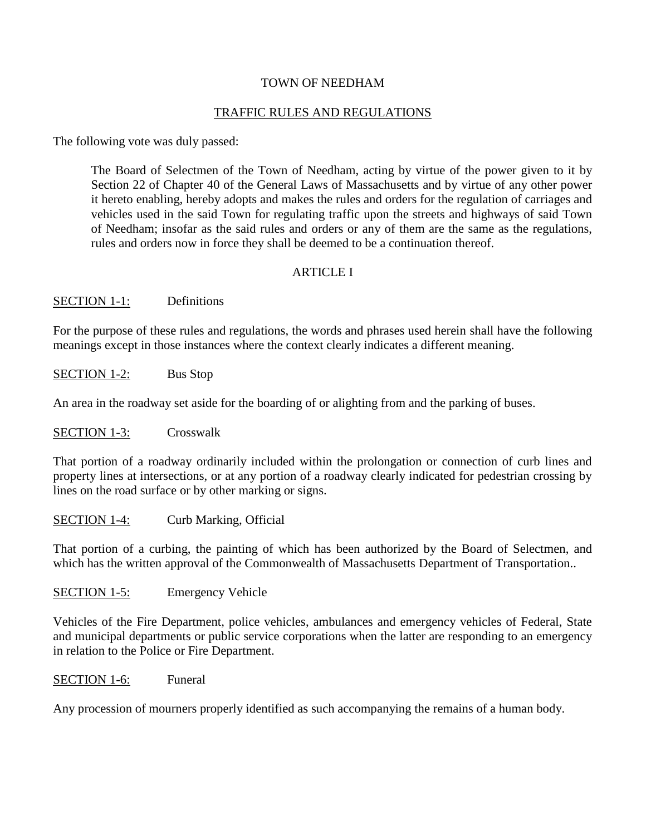### TOWN OF NEEDHAM

## TRAFFIC RULES AND REGULATIONS

The following vote was duly passed:

The Board of Selectmen of the Town of Needham, acting by virtue of the power given to it by Section 22 of Chapter 40 of the General Laws of Massachusetts and by virtue of any other power it hereto enabling, hereby adopts and makes the rules and orders for the regulation of carriages and vehicles used in the said Town for regulating traffic upon the streets and highways of said Town of Needham; insofar as the said rules and orders or any of them are the same as the regulations, rules and orders now in force they shall be deemed to be a continuation thereof.

### ARTICLE I

### SECTION 1-1: Definitions

For the purpose of these rules and regulations, the words and phrases used herein shall have the following meanings except in those instances where the context clearly indicates a different meaning.

SECTION 1-2: Bus Stop

An area in the roadway set aside for the boarding of or alighting from and the parking of buses.

SECTION 1-3: Crosswalk

That portion of a roadway ordinarily included within the prolongation or connection of curb lines and property lines at intersections, or at any portion of a roadway clearly indicated for pedestrian crossing by lines on the road surface or by other marking or signs.

SECTION 1-4: Curb Marking, Official

That portion of a curbing, the painting of which has been authorized by the Board of Selectmen, and which has the written approval of the Commonwealth of Massachusetts Department of Transportation..

SECTION 1-5: Emergency Vehicle

Vehicles of the Fire Department, police vehicles, ambulances and emergency vehicles of Federal, State and municipal departments or public service corporations when the latter are responding to an emergency in relation to the Police or Fire Department.

SECTION 1-6: Funeral

Any procession of mourners properly identified as such accompanying the remains of a human body.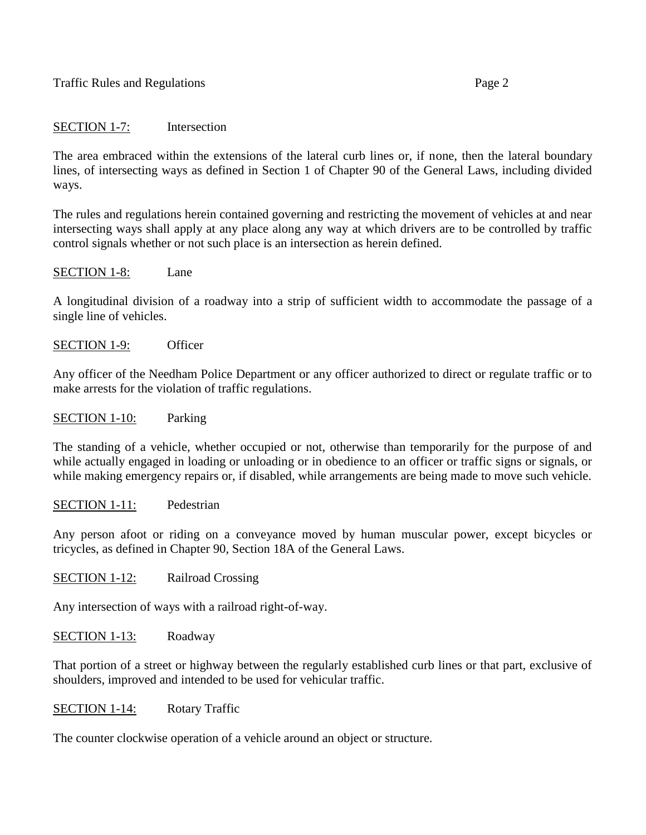## SECTION 1-7: Intersection

The area embraced within the extensions of the lateral curb lines or, if none, then the lateral boundary lines, of intersecting ways as defined in Section 1 of Chapter 90 of the General Laws, including divided ways.

The rules and regulations herein contained governing and restricting the movement of vehicles at and near intersecting ways shall apply at any place along any way at which drivers are to be controlled by traffic control signals whether or not such place is an intersection as herein defined.

#### SECTION 1-8: Lane

A longitudinal division of a roadway into a strip of sufficient width to accommodate the passage of a single line of vehicles.

SECTION 1-9: Officer

Any officer of the Needham Police Department or any officer authorized to direct or regulate traffic or to make arrests for the violation of traffic regulations.

#### SECTION 1-10: Parking

The standing of a vehicle, whether occupied or not, otherwise than temporarily for the purpose of and while actually engaged in loading or unloading or in obedience to an officer or traffic signs or signals, or while making emergency repairs or, if disabled, while arrangements are being made to move such vehicle.

### SECTION 1-11: Pedestrian

Any person afoot or riding on a conveyance moved by human muscular power, except bicycles or tricycles, as defined in Chapter 90, Section 18A of the General Laws.

SECTION 1-12: Railroad Crossing

Any intersection of ways with a railroad right-of-way.

SECTION 1-13: Roadway

That portion of a street or highway between the regularly established curb lines or that part, exclusive of shoulders, improved and intended to be used for vehicular traffic.

#### SECTION 1-14: Rotary Traffic

The counter clockwise operation of a vehicle around an object or structure.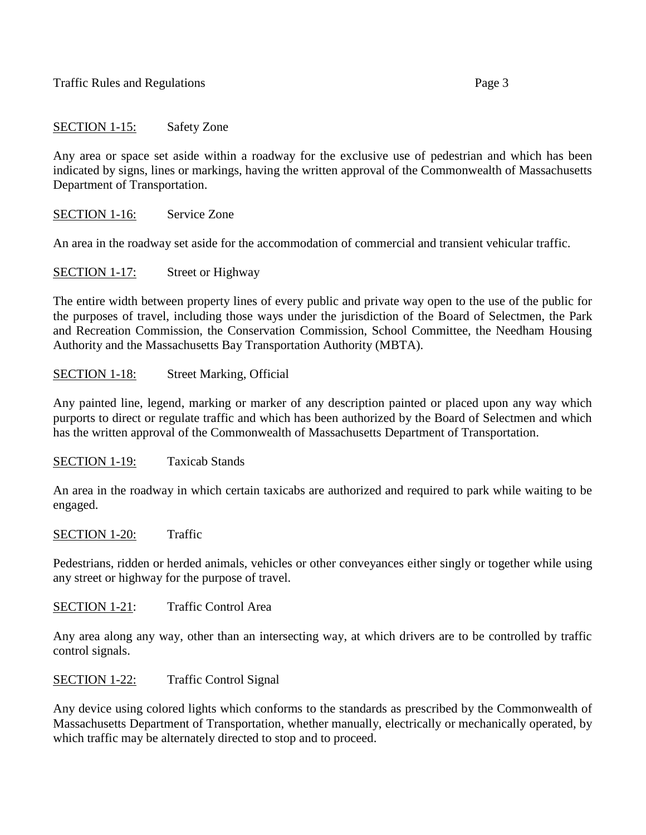## SECTION 1-15: Safety Zone

Any area or space set aside within a roadway for the exclusive use of pedestrian and which has been indicated by signs, lines or markings, having the written approval of the Commonwealth of Massachusetts Department of Transportation.

SECTION 1-16: Service Zone

An area in the roadway set aside for the accommodation of commercial and transient vehicular traffic.

SECTION 1-17: Street or Highway

The entire width between property lines of every public and private way open to the use of the public for the purposes of travel, including those ways under the jurisdiction of the Board of Selectmen, the Park and Recreation Commission, the Conservation Commission, School Committee, the Needham Housing Authority and the Massachusetts Bay Transportation Authority (MBTA).

## SECTION 1-18: Street Marking, Official

Any painted line, legend, marking or marker of any description painted or placed upon any way which purports to direct or regulate traffic and which has been authorized by the Board of Selectmen and which has the written approval of the Commonwealth of Massachusetts Department of Transportation.

SECTION 1-19: Taxicab Stands

An area in the roadway in which certain taxicabs are authorized and required to park while waiting to be engaged.

SECTION 1-20: Traffic

Pedestrians, ridden or herded animals, vehicles or other conveyances either singly or together while using any street or highway for the purpose of travel.

SECTION 1-21: Traffic Control Area

Any area along any way, other than an intersecting way, at which drivers are to be controlled by traffic control signals.

SECTION 1-22: Traffic Control Signal

Any device using colored lights which conforms to the standards as prescribed by the Commonwealth of Massachusetts Department of Transportation, whether manually, electrically or mechanically operated, by which traffic may be alternately directed to stop and to proceed.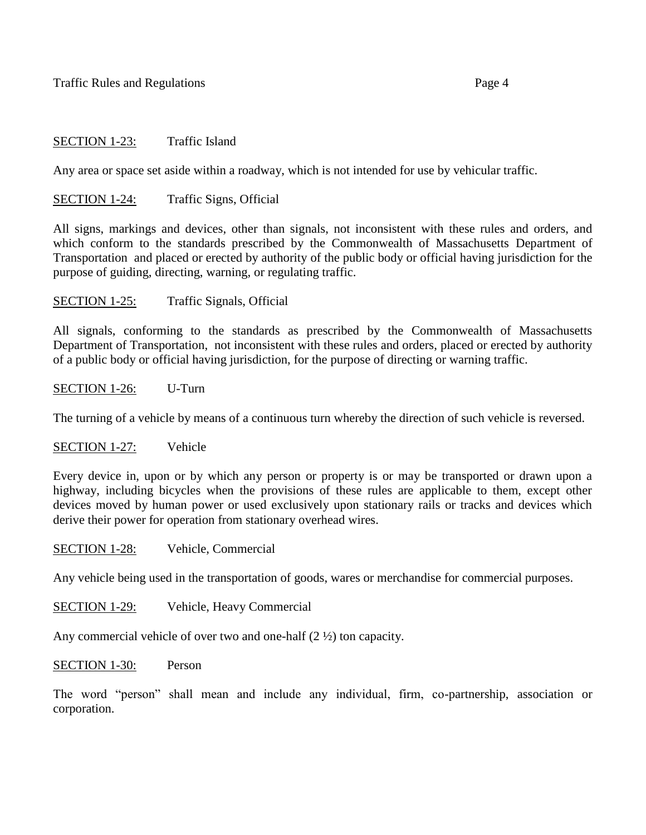## SECTION 1-23: Traffic Island

Any area or space set aside within a roadway, which is not intended for use by vehicular traffic.

### SECTION 1-24: Traffic Signs, Official

All signs, markings and devices, other than signals, not inconsistent with these rules and orders, and which conform to the standards prescribed by the Commonwealth of Massachusetts Department of Transportation and placed or erected by authority of the public body or official having jurisdiction for the purpose of guiding, directing, warning, or regulating traffic.

### SECTION 1-25: Traffic Signals, Official

All signals, conforming to the standards as prescribed by the Commonwealth of Massachusetts Department of Transportation, not inconsistent with these rules and orders, placed or erected by authority of a public body or official having jurisdiction, for the purpose of directing or warning traffic.

### SECTION 1-26: U-Turn

The turning of a vehicle by means of a continuous turn whereby the direction of such vehicle is reversed.

### SECTION 1-27: Vehicle

Every device in, upon or by which any person or property is or may be transported or drawn upon a highway, including bicycles when the provisions of these rules are applicable to them, except other devices moved by human power or used exclusively upon stationary rails or tracks and devices which derive their power for operation from stationary overhead wires.

### SECTION 1-28: Vehicle, Commercial

Any vehicle being used in the transportation of goods, wares or merchandise for commercial purposes.

SECTION 1-29: Vehicle, Heavy Commercial

Any commercial vehicle of over two and one-half (2 ½) ton capacity.

#### SECTION 1-30: Person

The word "person" shall mean and include any individual, firm, co-partnership, association or corporation.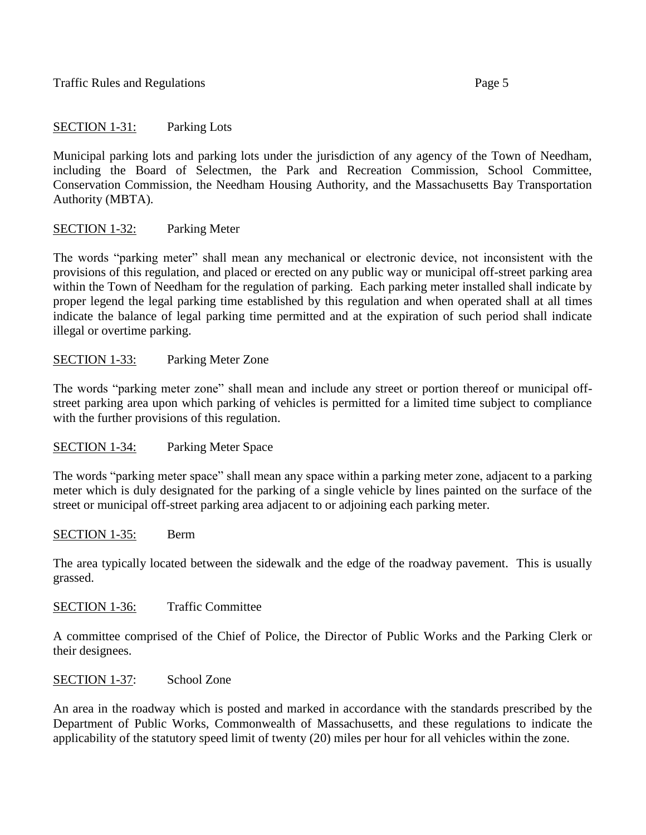SECTION 1-31: Parking Lots

Municipal parking lots and parking lots under the jurisdiction of any agency of the Town of Needham, including the Board of Selectmen, the Park and Recreation Commission, School Committee, Conservation Commission, the Needham Housing Authority, and the Massachusetts Bay Transportation Authority (MBTA).

# SECTION 1-32: Parking Meter

The words "parking meter" shall mean any mechanical or electronic device, not inconsistent with the provisions of this regulation, and placed or erected on any public way or municipal off-street parking area within the Town of Needham for the regulation of parking. Each parking meter installed shall indicate by proper legend the legal parking time established by this regulation and when operated shall at all times indicate the balance of legal parking time permitted and at the expiration of such period shall indicate illegal or overtime parking.

# SECTION 1-33: Parking Meter Zone

The words "parking meter zone" shall mean and include any street or portion thereof or municipal offstreet parking area upon which parking of vehicles is permitted for a limited time subject to compliance with the further provisions of this regulation.

SECTION 1-34: Parking Meter Space

The words "parking meter space" shall mean any space within a parking meter zone, adjacent to a parking meter which is duly designated for the parking of a single vehicle by lines painted on the surface of the street or municipal off-street parking area adjacent to or adjoining each parking meter.

SECTION 1-35: Berm

The area typically located between the sidewalk and the edge of the roadway pavement. This is usually grassed.

SECTION 1-36: Traffic Committee

A committee comprised of the Chief of Police, the Director of Public Works and the Parking Clerk or their designees.

SECTION 1-37: School Zone

An area in the roadway which is posted and marked in accordance with the standards prescribed by the Department of Public Works, Commonwealth of Massachusetts, and these regulations to indicate the applicability of the statutory speed limit of twenty (20) miles per hour for all vehicles within the zone.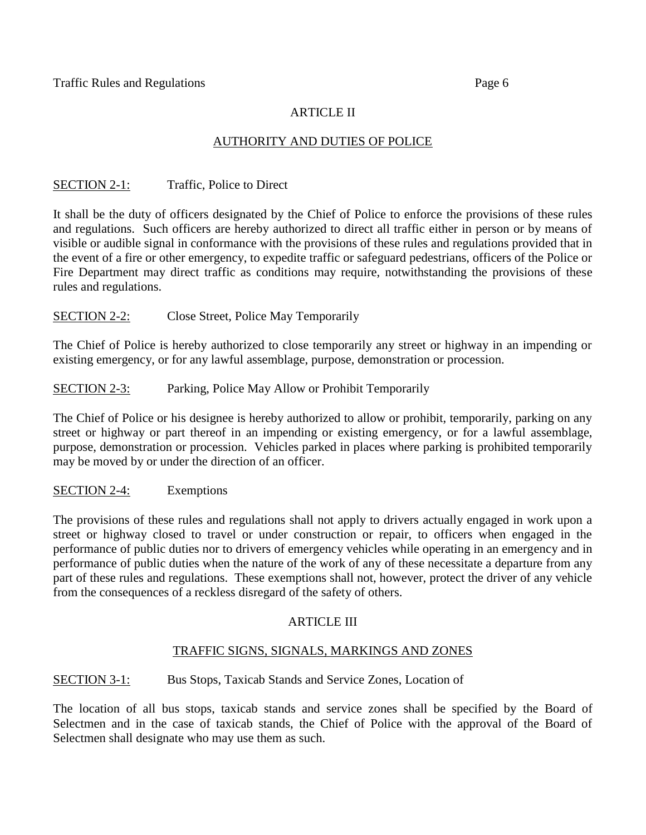# ARTICLE II

## AUTHORITY AND DUTIES OF POLICE

## SECTION 2-1: Traffic, Police to Direct

It shall be the duty of officers designated by the Chief of Police to enforce the provisions of these rules and regulations. Such officers are hereby authorized to direct all traffic either in person or by means of visible or audible signal in conformance with the provisions of these rules and regulations provided that in the event of a fire or other emergency, to expedite traffic or safeguard pedestrians, officers of the Police or Fire Department may direct traffic as conditions may require, notwithstanding the provisions of these rules and regulations.

## SECTION 2-2: Close Street, Police May Temporarily

The Chief of Police is hereby authorized to close temporarily any street or highway in an impending or existing emergency, or for any lawful assemblage, purpose, demonstration or procession.

## SECTION 2-3: Parking, Police May Allow or Prohibit Temporarily

The Chief of Police or his designee is hereby authorized to allow or prohibit, temporarily, parking on any street or highway or part thereof in an impending or existing emergency, or for a lawful assemblage, purpose, demonstration or procession. Vehicles parked in places where parking is prohibited temporarily may be moved by or under the direction of an officer.

### SECTION 2-4: Exemptions

The provisions of these rules and regulations shall not apply to drivers actually engaged in work upon a street or highway closed to travel or under construction or repair, to officers when engaged in the performance of public duties nor to drivers of emergency vehicles while operating in an emergency and in performance of public duties when the nature of the work of any of these necessitate a departure from any part of these rules and regulations. These exemptions shall not, however, protect the driver of any vehicle from the consequences of a reckless disregard of the safety of others.

## ARTICLE III

## TRAFFIC SIGNS, SIGNALS, MARKINGS AND ZONES

## SECTION 3-1: Bus Stops, Taxicab Stands and Service Zones, Location of

The location of all bus stops, taxicab stands and service zones shall be specified by the Board of Selectmen and in the case of taxicab stands, the Chief of Police with the approval of the Board of Selectmen shall designate who may use them as such.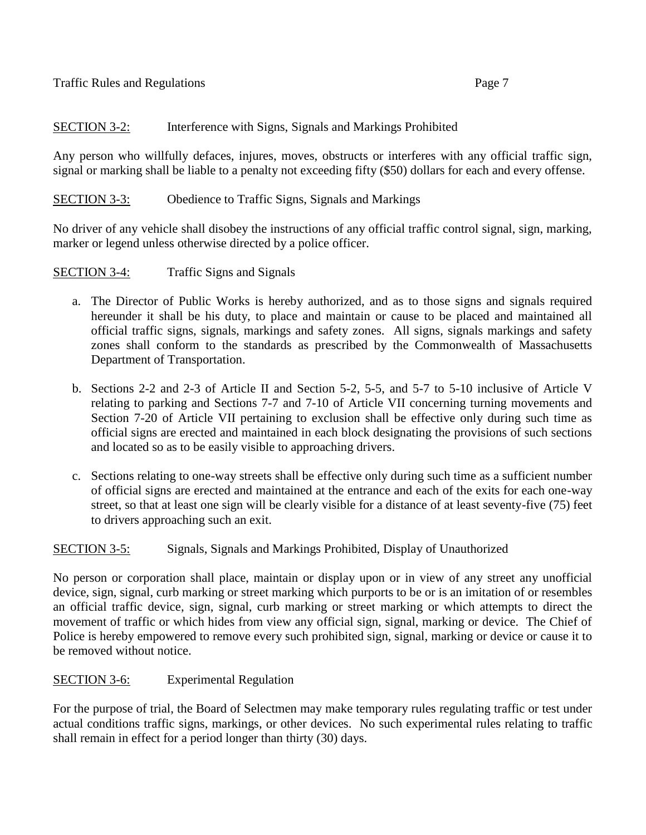# SECTION 3-2: Interference with Signs, Signals and Markings Prohibited

Any person who willfully defaces, injures, moves, obstructs or interferes with any official traffic sign, signal or marking shall be liable to a penalty not exceeding fifty (\$50) dollars for each and every offense.

# SECTION 3-3: Obedience to Traffic Signs, Signals and Markings

No driver of any vehicle shall disobey the instructions of any official traffic control signal, sign, marking, marker or legend unless otherwise directed by a police officer.

SECTION 3-4: Traffic Signs and Signals

- a. The Director of Public Works is hereby authorized, and as to those signs and signals required hereunder it shall be his duty, to place and maintain or cause to be placed and maintained all official traffic signs, signals, markings and safety zones. All signs, signals markings and safety zones shall conform to the standards as prescribed by the Commonwealth of Massachusetts Department of Transportation.
- b. Sections 2-2 and 2-3 of Article II and Section 5-2, 5-5, and 5-7 to 5-10 inclusive of Article V relating to parking and Sections 7-7 and 7-10 of Article VII concerning turning movements and Section 7-20 of Article VII pertaining to exclusion shall be effective only during such time as official signs are erected and maintained in each block designating the provisions of such sections and located so as to be easily visible to approaching drivers.
- c. Sections relating to one-way streets shall be effective only during such time as a sufficient number of official signs are erected and maintained at the entrance and each of the exits for each one-way street, so that at least one sign will be clearly visible for a distance of at least seventy-five (75) feet to drivers approaching such an exit.

## SECTION 3-5: Signals, Signals and Markings Prohibited, Display of Unauthorized

No person or corporation shall place, maintain or display upon or in view of any street any unofficial device, sign, signal, curb marking or street marking which purports to be or is an imitation of or resembles an official traffic device, sign, signal, curb marking or street marking or which attempts to direct the movement of traffic or which hides from view any official sign, signal, marking or device. The Chief of Police is hereby empowered to remove every such prohibited sign, signal, marking or device or cause it to be removed without notice.

## SECTION 3-6: Experimental Regulation

For the purpose of trial, the Board of Selectmen may make temporary rules regulating traffic or test under actual conditions traffic signs, markings, or other devices. No such experimental rules relating to traffic shall remain in effect for a period longer than thirty (30) days.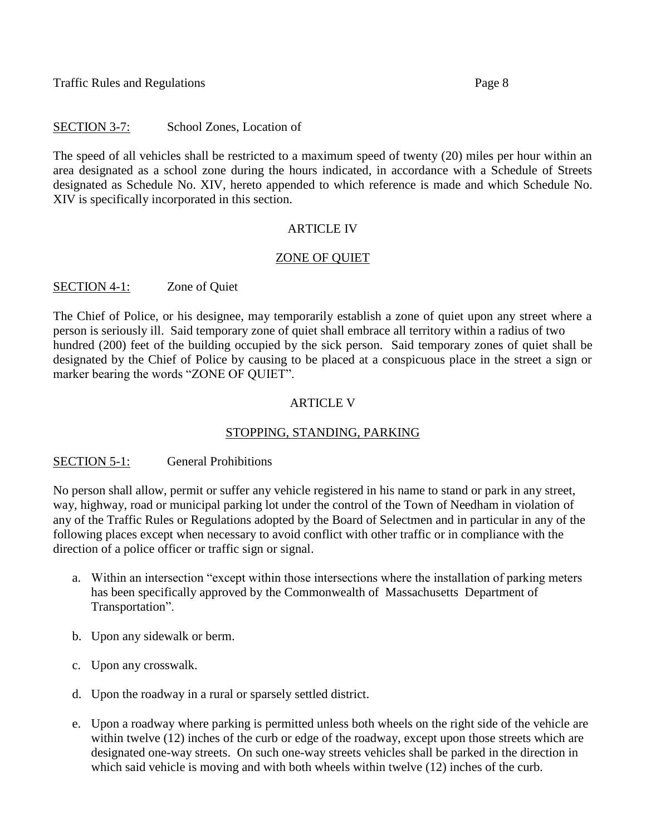## SECTION 3-7: School Zones, Location of

The speed of all vehicles shall be restricted to a maximum speed of twenty (20) miles per hour within an area designated as a school zone during the hours indicated, in accordance with a Schedule of Streets designated as Schedule No. XIV, hereto appended to which reference is made and which Schedule No. XIV is specifically incorporated in this section.

## **ARTICLE IV**

### ZONE OF QUIET

## SECTION 4-1: Zone of Quiet

The Chief of Police, or his designee, may temporarily establish a zone of quiet upon any street where a person is seriously ill. Said temporary zone of quiet shall embrace all territory within a radius of two hundred (200) feet of the building occupied by the sick person. Said temporary zones of quiet shall be designated by the Chief of Police by causing to be placed at a conspicuous place in the street a sign or marker bearing the words "ZONE OF QUIET".

## ARTICLE V

## STOPPING, STANDING, PARKING

### SECTION 5-1: General Prohibitions

No person shall allow, permit or suffer any vehicle registered in his name to stand or park in any street, way, highway, road or municipal parking lot under the control of the Town of Needham in violation of any of the Traffic Rules or Regulations adopted by the Board of Selectmen and in particular in any of the following places except when necessary to avoid conflict with other traffic or in compliance with the direction of a police officer or traffic sign or signal.

- a. Within an intersection "except within those intersections where the installation of parking meters has been specifically approved by the Commonwealth of Massachusetts Department of Transportation".
- b. Upon any sidewalk or berm.
- c. Upon any crosswalk.
- d. Upon the roadway in a rural or sparsely settled district.
- e. Upon a roadway where parking is permitted unless both wheels on the right side of the vehicle are within twelve (12) inches of the curb or edge of the roadway, except upon those streets which are designated one-way streets. On such one-way streets vehicles shall be parked in the direction in which said vehicle is moving and with both wheels within twelve  $(12)$  inches of the curb.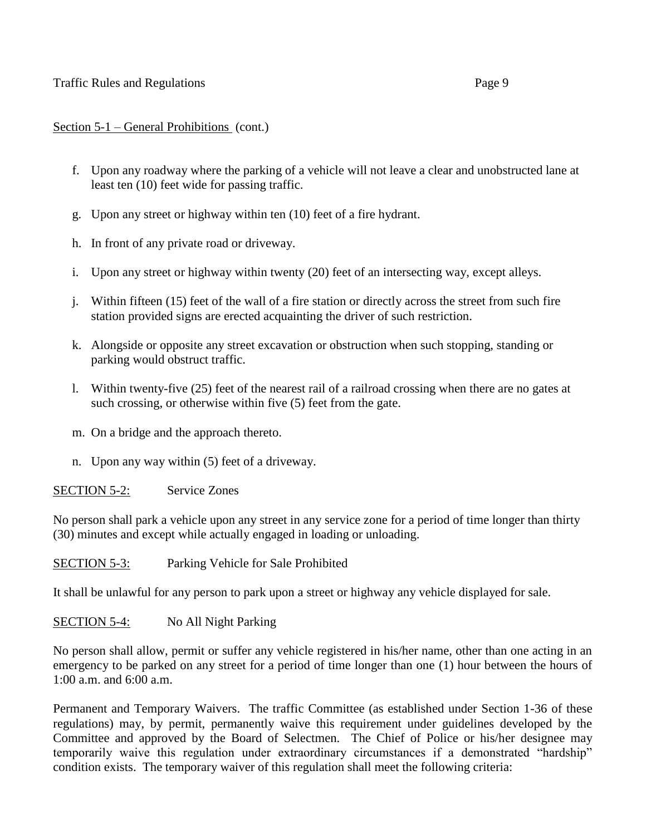### Traffic Rules and Regulations **Page 9** and **Page 9** and **Page 9** and **Page 9** and **Page 9** and **Page 9** and **Page 9**

## Section 5-1 – General Prohibitions (cont.)

- f. Upon any roadway where the parking of a vehicle will not leave a clear and unobstructed lane at least ten (10) feet wide for passing traffic.
- g. Upon any street or highway within ten (10) feet of a fire hydrant.
- h. In front of any private road or driveway.
- i. Upon any street or highway within twenty (20) feet of an intersecting way, except alleys.
- j. Within fifteen (15) feet of the wall of a fire station or directly across the street from such fire station provided signs are erected acquainting the driver of such restriction.
- k. Alongside or opposite any street excavation or obstruction when such stopping, standing or parking would obstruct traffic.
- l. Within twenty-five (25) feet of the nearest rail of a railroad crossing when there are no gates at such crossing, or otherwise within five (5) feet from the gate.
- m. On a bridge and the approach thereto.
- n. Upon any way within (5) feet of a driveway.

## SECTION 5-2: Service Zones

No person shall park a vehicle upon any street in any service zone for a period of time longer than thirty (30) minutes and except while actually engaged in loading or unloading.

SECTION 5-3: Parking Vehicle for Sale Prohibited

It shall be unlawful for any person to park upon a street or highway any vehicle displayed for sale.

SECTION 5-4: No All Night Parking

No person shall allow, permit or suffer any vehicle registered in his/her name, other than one acting in an emergency to be parked on any street for a period of time longer than one (1) hour between the hours of 1:00 a.m. and 6:00 a.m.

Permanent and Temporary Waivers. The traffic Committee (as established under Section 1-36 of these regulations) may, by permit, permanently waive this requirement under guidelines developed by the Committee and approved by the Board of Selectmen. The Chief of Police or his/her designee may temporarily waive this regulation under extraordinary circumstances if a demonstrated "hardship" condition exists. The temporary waiver of this regulation shall meet the following criteria: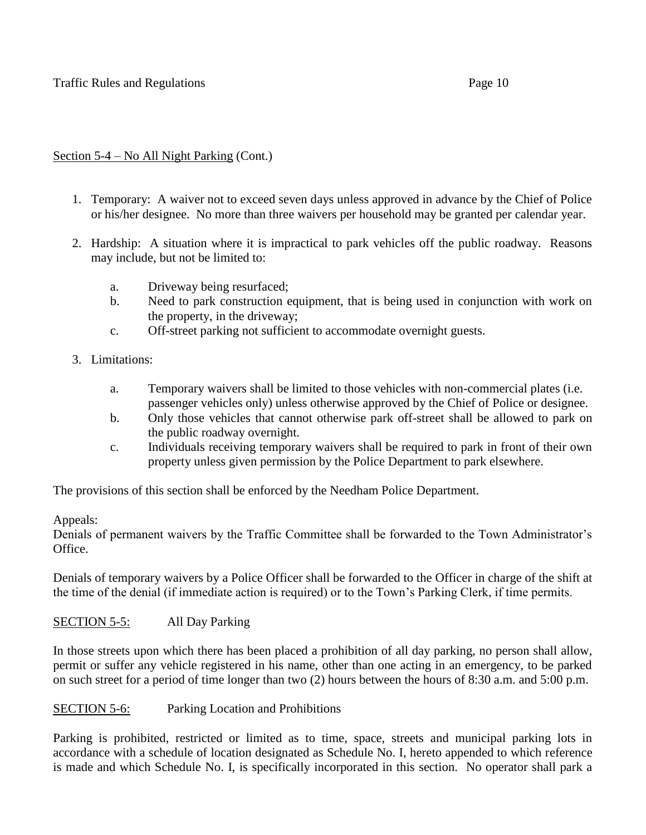# Section 5-4 – No All Night Parking (Cont.)

- 1. Temporary: A waiver not to exceed seven days unless approved in advance by the Chief of Police or his/her designee. No more than three waivers per household may be granted per calendar year.
- 2. Hardship: A situation where it is impractical to park vehicles off the public roadway. Reasons may include, but not be limited to:
	- a. Driveway being resurfaced;
	- b. Need to park construction equipment, that is being used in conjunction with work on the property, in the driveway;
	- c. Off-street parking not sufficient to accommodate overnight guests.
- 3. Limitations:
	- a. Temporary waivers shall be limited to those vehicles with non-commercial plates (i.e. passenger vehicles only) unless otherwise approved by the Chief of Police or designee.
	- b. Only those vehicles that cannot otherwise park off-street shall be allowed to park on the public roadway overnight.
	- c. Individuals receiving temporary waivers shall be required to park in front of their own property unless given permission by the Police Department to park elsewhere.

The provisions of this section shall be enforced by the Needham Police Department.

### Appeals:

Denials of permanent waivers by the Traffic Committee shall be forwarded to the Town Administrator's Office.

Denials of temporary waivers by a Police Officer shall be forwarded to the Officer in charge of the shift at the time of the denial (if immediate action is required) or to the Town's Parking Clerk, if time permits.

## SECTION 5-5: All Day Parking

In those streets upon which there has been placed a prohibition of all day parking, no person shall allow, permit or suffer any vehicle registered in his name, other than one acting in an emergency, to be parked on such street for a period of time longer than two (2) hours between the hours of 8:30 a.m. and 5:00 p.m.

SECTION 5-6: Parking Location and Prohibitions

Parking is prohibited, restricted or limited as to time, space, streets and municipal parking lots in accordance with a schedule of location designated as Schedule No. I, hereto appended to which reference is made and which Schedule No. I, is specifically incorporated in this section. No operator shall park a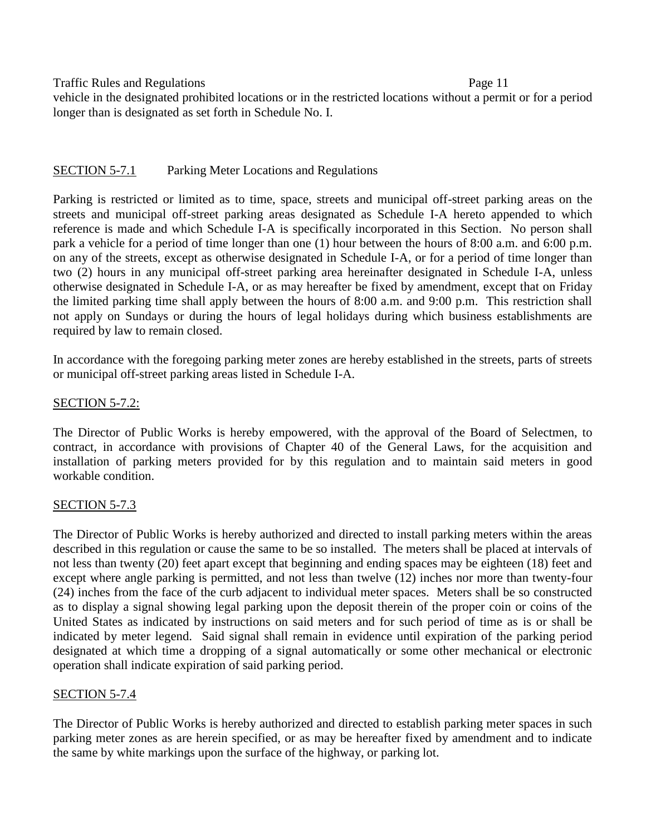vehicle in the designated prohibited locations or in the restricted locations without a permit or for a period longer than is designated as set forth in Schedule No. I.

## SECTION 5-7.1 Parking Meter Locations and Regulations

Parking is restricted or limited as to time, space, streets and municipal off-street parking areas on the streets and municipal off-street parking areas designated as Schedule I-A hereto appended to which reference is made and which Schedule I-A is specifically incorporated in this Section. No person shall park a vehicle for a period of time longer than one (1) hour between the hours of 8:00 a.m. and 6:00 p.m. on any of the streets, except as otherwise designated in Schedule I-A, or for a period of time longer than two (2) hours in any municipal off-street parking area hereinafter designated in Schedule I-A, unless otherwise designated in Schedule I-A, or as may hereafter be fixed by amendment, except that on Friday the limited parking time shall apply between the hours of 8:00 a.m. and 9:00 p.m. This restriction shall not apply on Sundays or during the hours of legal holidays during which business establishments are required by law to remain closed.

In accordance with the foregoing parking meter zones are hereby established in the streets, parts of streets or municipal off-street parking areas listed in Schedule I-A.

# **SECTION 5-7.2:**

The Director of Public Works is hereby empowered, with the approval of the Board of Selectmen, to contract, in accordance with provisions of Chapter 40 of the General Laws, for the acquisition and installation of parking meters provided for by this regulation and to maintain said meters in good workable condition.

## SECTION 5-7.3

The Director of Public Works is hereby authorized and directed to install parking meters within the areas described in this regulation or cause the same to be so installed. The meters shall be placed at intervals of not less than twenty (20) feet apart except that beginning and ending spaces may be eighteen (18) feet and except where angle parking is permitted, and not less than twelve (12) inches nor more than twenty-four (24) inches from the face of the curb adjacent to individual meter spaces. Meters shall be so constructed as to display a signal showing legal parking upon the deposit therein of the proper coin or coins of the United States as indicated by instructions on said meters and for such period of time as is or shall be indicated by meter legend. Said signal shall remain in evidence until expiration of the parking period designated at which time a dropping of a signal automatically or some other mechanical or electronic operation shall indicate expiration of said parking period.

## SECTION 5-7.4

The Director of Public Works is hereby authorized and directed to establish parking meter spaces in such parking meter zones as are herein specified, or as may be hereafter fixed by amendment and to indicate the same by white markings upon the surface of the highway, or parking lot.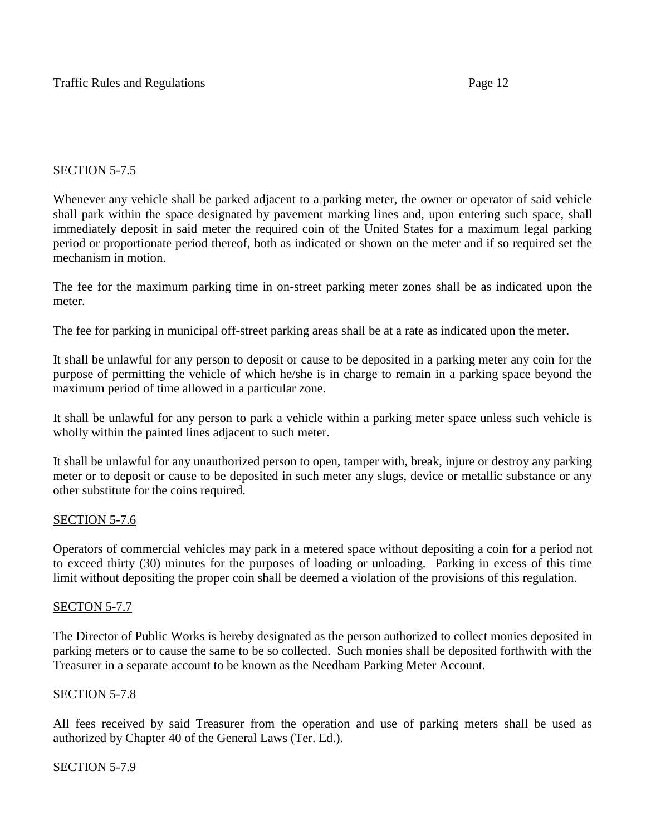## SECTION 5-7.5

Whenever any vehicle shall be parked adjacent to a parking meter, the owner or operator of said vehicle shall park within the space designated by pavement marking lines and, upon entering such space, shall immediately deposit in said meter the required coin of the United States for a maximum legal parking period or proportionate period thereof, both as indicated or shown on the meter and if so required set the mechanism in motion.

The fee for the maximum parking time in on-street parking meter zones shall be as indicated upon the meter.

The fee for parking in municipal off-street parking areas shall be at a rate as indicated upon the meter.

It shall be unlawful for any person to deposit or cause to be deposited in a parking meter any coin for the purpose of permitting the vehicle of which he/she is in charge to remain in a parking space beyond the maximum period of time allowed in a particular zone.

It shall be unlawful for any person to park a vehicle within a parking meter space unless such vehicle is wholly within the painted lines adjacent to such meter.

It shall be unlawful for any unauthorized person to open, tamper with, break, injure or destroy any parking meter or to deposit or cause to be deposited in such meter any slugs, device or metallic substance or any other substitute for the coins required.

### SECTION 5-7.6

Operators of commercial vehicles may park in a metered space without depositing a coin for a period not to exceed thirty (30) minutes for the purposes of loading or unloading. Parking in excess of this time limit without depositing the proper coin shall be deemed a violation of the provisions of this regulation.

### SECTON 5-7.7

The Director of Public Works is hereby designated as the person authorized to collect monies deposited in parking meters or to cause the same to be so collected. Such monies shall be deposited forthwith with the Treasurer in a separate account to be known as the Needham Parking Meter Account.

### SECTION 5-7.8

All fees received by said Treasurer from the operation and use of parking meters shall be used as authorized by Chapter 40 of the General Laws (Ter. Ed.).

### SECTION 5-7.9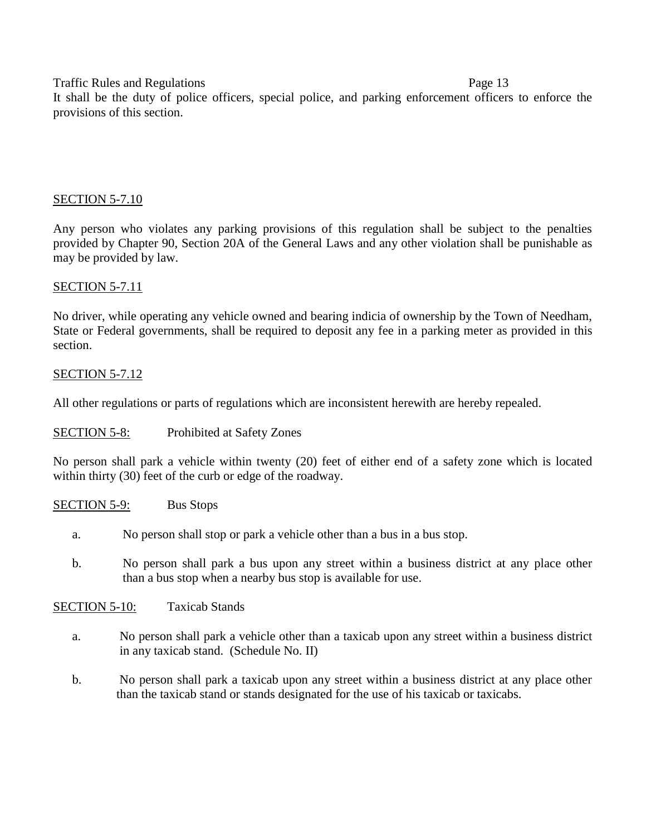It shall be the duty of police officers, special police, and parking enforcement officers to enforce the provisions of this section.

## SECTION 5-7.10

Any person who violates any parking provisions of this regulation shall be subject to the penalties provided by Chapter 90, Section 20A of the General Laws and any other violation shall be punishable as may be provided by law.

## SECTION 5-7.11

No driver, while operating any vehicle owned and bearing indicia of ownership by the Town of Needham, State or Federal governments, shall be required to deposit any fee in a parking meter as provided in this section.

## SECTION 5-7.12

All other regulations or parts of regulations which are inconsistent herewith are hereby repealed.

## SECTION 5-8: Prohibited at Safety Zones

No person shall park a vehicle within twenty (20) feet of either end of a safety zone which is located within thirty (30) feet of the curb or edge of the roadway.

SECTION 5-9: Bus Stops

- a. No person shall stop or park a vehicle other than a bus in a bus stop.
- b. No person shall park a bus upon any street within a business district at any place other than a bus stop when a nearby bus stop is available for use.

SECTION 5-10: Taxicab Stands

- a. No person shall park a vehicle other than a taxicab upon any street within a business district in any taxicab stand. (Schedule No. II)
- b. No person shall park a taxicab upon any street within a business district at any place other than the taxicab stand or stands designated for the use of his taxicab or taxicabs.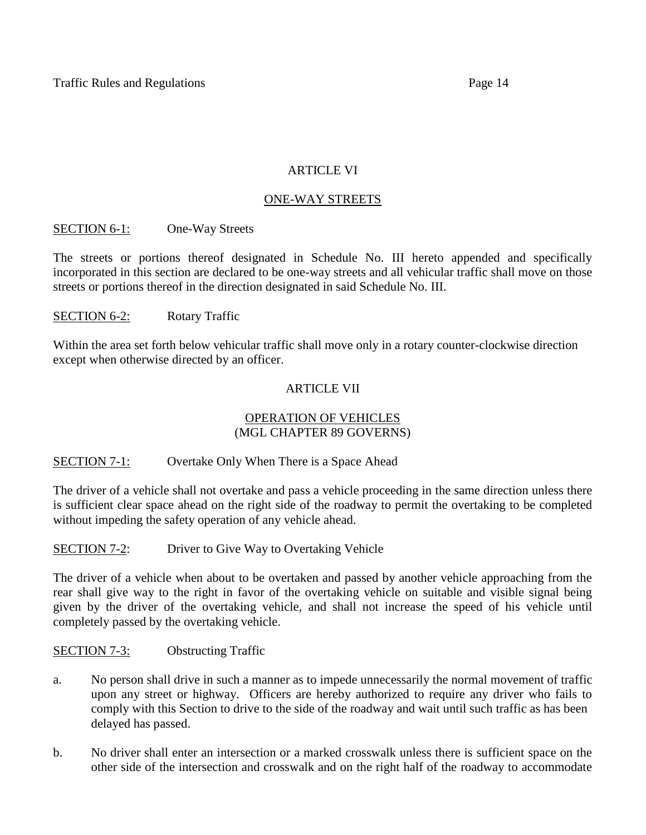## ARTICLE VI

# ONE-WAY STREETS

# SECTION 6-1: One-Way Streets

The streets or portions thereof designated in Schedule No. III hereto appended and specifically incorporated in this section are declared to be one-way streets and all vehicular traffic shall move on those streets or portions thereof in the direction designated in said Schedule No. III.

# SECTION 6-2: Rotary Traffic

Within the area set forth below vehicular traffic shall move only in a rotary counter-clockwise direction except when otherwise directed by an officer.

# ARTICLE VII

## OPERATION OF VEHICLES (MGL CHAPTER 89 GOVERNS)

## SECTION 7-1: Overtake Only When There is a Space Ahead

The driver of a vehicle shall not overtake and pass a vehicle proceeding in the same direction unless there is sufficient clear space ahead on the right side of the roadway to permit the overtaking to be completed without impeding the safety operation of any vehicle ahead.

## SECTION 7-2: Driver to Give Way to Overtaking Vehicle

The driver of a vehicle when about to be overtaken and passed by another vehicle approaching from the rear shall give way to the right in favor of the overtaking vehicle on suitable and visible signal being given by the driver of the overtaking vehicle, and shall not increase the speed of his vehicle until completely passed by the overtaking vehicle.

## SECTION 7-3: Obstructing Traffic

- a. No person shall drive in such a manner as to impede unnecessarily the normal movement of traffic upon any street or highway. Officers are hereby authorized to require any driver who fails to comply with this Section to drive to the side of the roadway and wait until such traffic as has been delayed has passed.
- b. No driver shall enter an intersection or a marked crosswalk unless there is sufficient space on the other side of the intersection and crosswalk and on the right half of the roadway to accommodate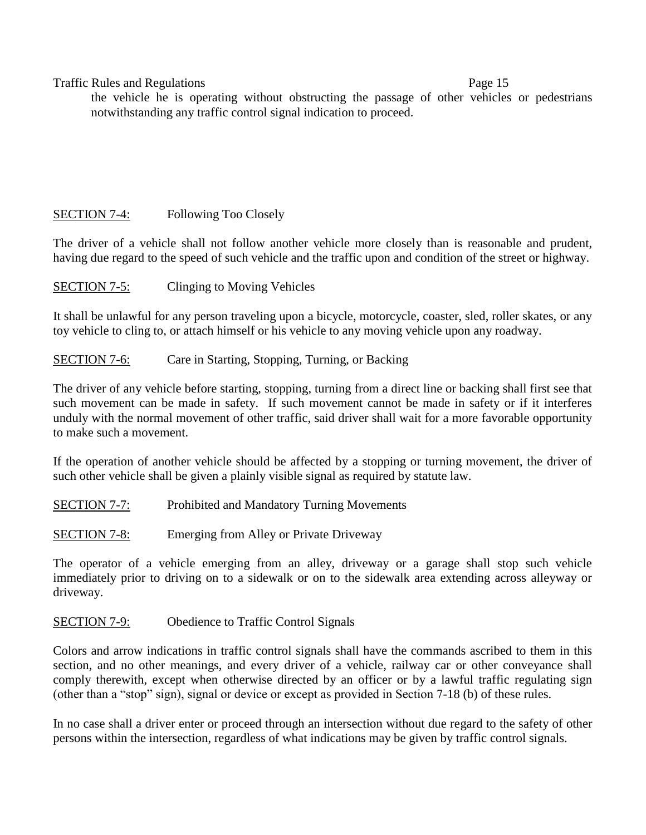the vehicle he is operating without obstructing the passage of other vehicles or pedestrians notwithstanding any traffic control signal indication to proceed.

# SECTION 7-4: Following Too Closely

The driver of a vehicle shall not follow another vehicle more closely than is reasonable and prudent, having due regard to the speed of such vehicle and the traffic upon and condition of the street or highway.

SECTION 7-5: Clinging to Moving Vehicles

It shall be unlawful for any person traveling upon a bicycle, motorcycle, coaster, sled, roller skates, or any toy vehicle to cling to, or attach himself or his vehicle to any moving vehicle upon any roadway.

## SECTION 7-6: Care in Starting, Stopping, Turning, or Backing

The driver of any vehicle before starting, stopping, turning from a direct line or backing shall first see that such movement can be made in safety. If such movement cannot be made in safety or if it interferes unduly with the normal movement of other traffic, said driver shall wait for a more favorable opportunity to make such a movement.

If the operation of another vehicle should be affected by a stopping or turning movement, the driver of such other vehicle shall be given a plainly visible signal as required by statute law.

SECTION 7-7: Prohibited and Mandatory Turning Movements

SECTION 7-8: Emerging from Alley or Private Driveway

The operator of a vehicle emerging from an alley, driveway or a garage shall stop such vehicle immediately prior to driving on to a sidewalk or on to the sidewalk area extending across alleyway or driveway.

SECTION 7-9: Obedience to Traffic Control Signals

Colors and arrow indications in traffic control signals shall have the commands ascribed to them in this section, and no other meanings, and every driver of a vehicle, railway car or other conveyance shall comply therewith, except when otherwise directed by an officer or by a lawful traffic regulating sign (other than a "stop" sign), signal or device or except as provided in Section 7-18 (b) of these rules.

In no case shall a driver enter or proceed through an intersection without due regard to the safety of other persons within the intersection, regardless of what indications may be given by traffic control signals.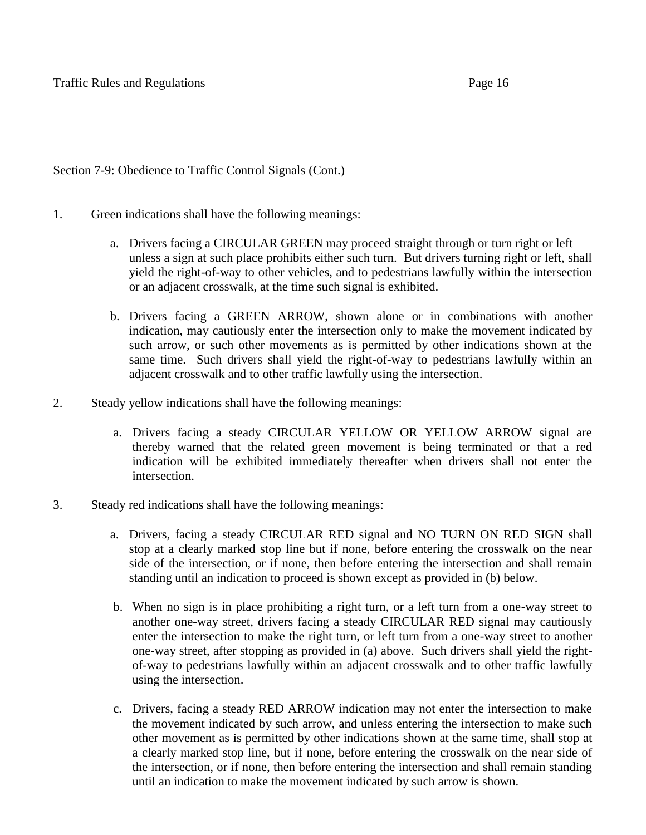Section 7-9: Obedience to Traffic Control Signals (Cont.)

- 1. Green indications shall have the following meanings:
	- a. Drivers facing a CIRCULAR GREEN may proceed straight through or turn right or left unless a sign at such place prohibits either such turn. But drivers turning right or left, shall yield the right-of-way to other vehicles, and to pedestrians lawfully within the intersection or an adjacent crosswalk, at the time such signal is exhibited.
	- b. Drivers facing a GREEN ARROW, shown alone or in combinations with another indication, may cautiously enter the intersection only to make the movement indicated by such arrow, or such other movements as is permitted by other indications shown at the same time. Such drivers shall yield the right-of-way to pedestrians lawfully within an adjacent crosswalk and to other traffic lawfully using the intersection.
- 2. Steady yellow indications shall have the following meanings:
	- a. Drivers facing a steady CIRCULAR YELLOW OR YELLOW ARROW signal are thereby warned that the related green movement is being terminated or that a red indication will be exhibited immediately thereafter when drivers shall not enter the intersection.
- 3. Steady red indications shall have the following meanings:
	- a. Drivers, facing a steady CIRCULAR RED signal and NO TURN ON RED SIGN shall stop at a clearly marked stop line but if none, before entering the crosswalk on the near side of the intersection, or if none, then before entering the intersection and shall remain standing until an indication to proceed is shown except as provided in (b) below.
	- b. When no sign is in place prohibiting a right turn, or a left turn from a one-way street to another one-way street, drivers facing a steady CIRCULAR RED signal may cautiously enter the intersection to make the right turn, or left turn from a one-way street to another one-way street, after stopping as provided in (a) above. Such drivers shall yield the rightof-way to pedestrians lawfully within an adjacent crosswalk and to other traffic lawfully using the intersection.
	- c. Drivers, facing a steady RED ARROW indication may not enter the intersection to make the movement indicated by such arrow, and unless entering the intersection to make such other movement as is permitted by other indications shown at the same time, shall stop at a clearly marked stop line, but if none, before entering the crosswalk on the near side of the intersection, or if none, then before entering the intersection and shall remain standing until an indication to make the movement indicated by such arrow is shown.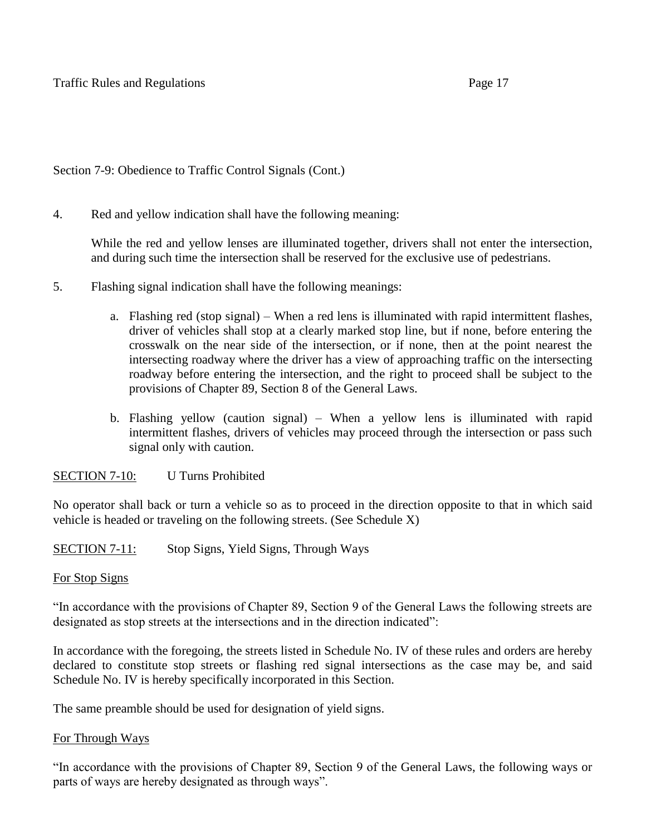Section 7-9: Obedience to Traffic Control Signals (Cont.)

4. Red and yellow indication shall have the following meaning:

While the red and yellow lenses are illuminated together, drivers shall not enter the intersection, and during such time the intersection shall be reserved for the exclusive use of pedestrians.

- 5. Flashing signal indication shall have the following meanings:
	- a. Flashing red (stop signal) When a red lens is illuminated with rapid intermittent flashes, driver of vehicles shall stop at a clearly marked stop line, but if none, before entering the crosswalk on the near side of the intersection, or if none, then at the point nearest the intersecting roadway where the driver has a view of approaching traffic on the intersecting roadway before entering the intersection, and the right to proceed shall be subject to the provisions of Chapter 89, Section 8 of the General Laws.
	- b. Flashing yellow (caution signal) When a yellow lens is illuminated with rapid intermittent flashes, drivers of vehicles may proceed through the intersection or pass such signal only with caution.

## SECTION 7-10: U Turns Prohibited

No operator shall back or turn a vehicle so as to proceed in the direction opposite to that in which said vehicle is headed or traveling on the following streets. (See Schedule X)

SECTION 7-11: Stop Signs, Yield Signs, Through Ways

### For Stop Signs

"In accordance with the provisions of Chapter 89, Section 9 of the General Laws the following streets are designated as stop streets at the intersections and in the direction indicated":

In accordance with the foregoing, the streets listed in Schedule No. IV of these rules and orders are hereby declared to constitute stop streets or flashing red signal intersections as the case may be, and said Schedule No. IV is hereby specifically incorporated in this Section.

The same preamble should be used for designation of yield signs.

### For Through Ways

"In accordance with the provisions of Chapter 89, Section 9 of the General Laws, the following ways or parts of ways are hereby designated as through ways".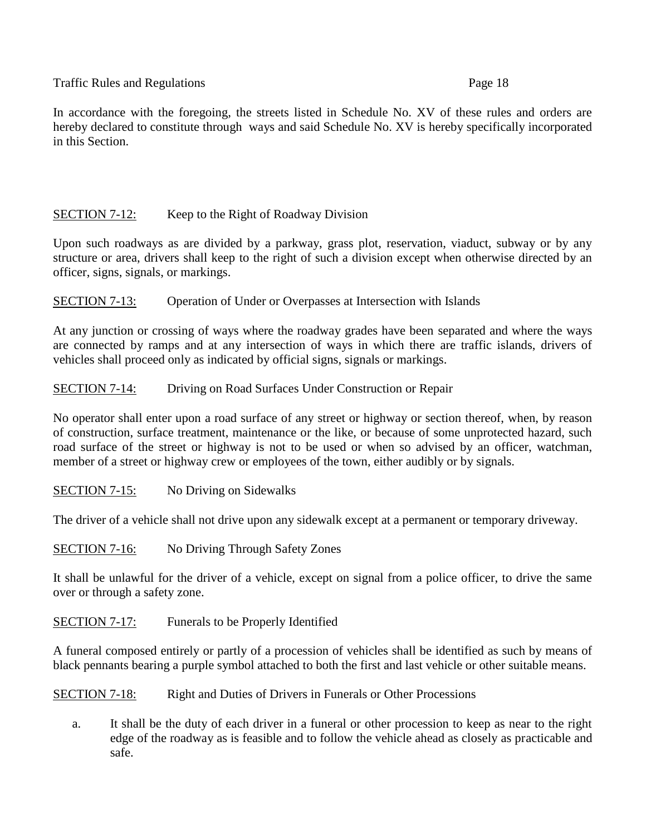In accordance with the foregoing, the streets listed in Schedule No. XV of these rules and orders are hereby declared to constitute through ways and said Schedule No. XV is hereby specifically incorporated in this Section.

# SECTION 7-12: Keep to the Right of Roadway Division

Upon such roadways as are divided by a parkway, grass plot, reservation, viaduct, subway or by any structure or area, drivers shall keep to the right of such a division except when otherwise directed by an officer, signs, signals, or markings.

SECTION 7-13: Operation of Under or Overpasses at Intersection with Islands

At any junction or crossing of ways where the roadway grades have been separated and where the ways are connected by ramps and at any intersection of ways in which there are traffic islands, drivers of vehicles shall proceed only as indicated by official signs, signals or markings.

SECTION 7-14: Driving on Road Surfaces Under Construction or Repair

No operator shall enter upon a road surface of any street or highway or section thereof, when, by reason of construction, surface treatment, maintenance or the like, or because of some unprotected hazard, such road surface of the street or highway is not to be used or when so advised by an officer, watchman, member of a street or highway crew or employees of the town, either audibly or by signals.

SECTION 7-15: No Driving on Sidewalks

The driver of a vehicle shall not drive upon any sidewalk except at a permanent or temporary driveway.

SECTION 7-16: No Driving Through Safety Zones

It shall be unlawful for the driver of a vehicle, except on signal from a police officer, to drive the same over or through a safety zone.

SECTION 7-17: Funerals to be Properly Identified

A funeral composed entirely or partly of a procession of vehicles shall be identified as such by means of black pennants bearing a purple symbol attached to both the first and last vehicle or other suitable means.

SECTION 7-18: Right and Duties of Drivers in Funerals or Other Processions

a. It shall be the duty of each driver in a funeral or other procession to keep as near to the right edge of the roadway as is feasible and to follow the vehicle ahead as closely as practicable and safe.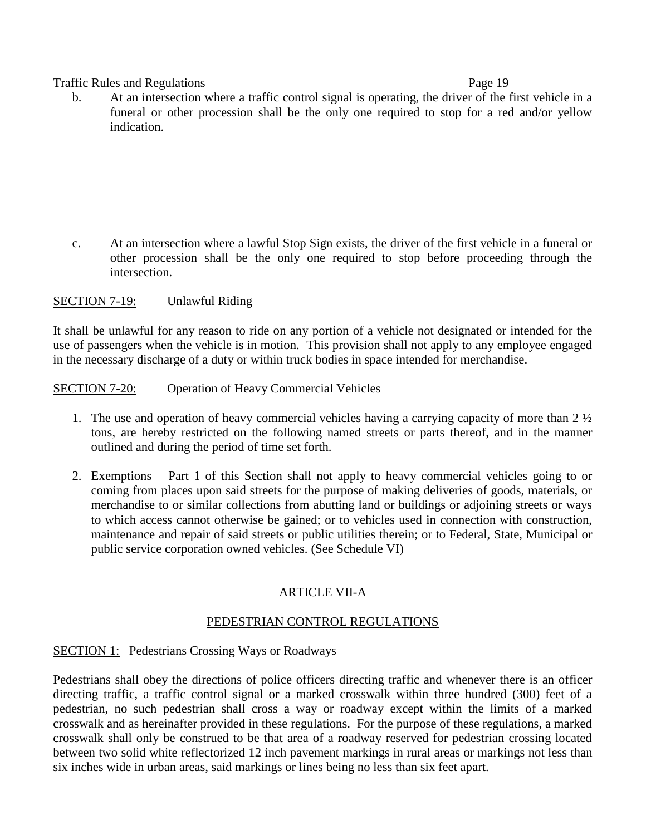#### Traffic Rules and Regulations **Page 19** and Regulations **Page 19**

b. At an intersection where a traffic control signal is operating, the driver of the first vehicle in a funeral or other procession shall be the only one required to stop for a red and/or yellow indication.

c. At an intersection where a lawful Stop Sign exists, the driver of the first vehicle in a funeral or other procession shall be the only one required to stop before proceeding through the intersection.

## SECTION 7-19: Unlawful Riding

It shall be unlawful for any reason to ride on any portion of a vehicle not designated or intended for the use of passengers when the vehicle is in motion. This provision shall not apply to any employee engaged in the necessary discharge of a duty or within truck bodies in space intended for merchandise.

SECTION 7-20: Operation of Heavy Commercial Vehicles

- 1. The use and operation of heavy commercial vehicles having a carrying capacity of more than  $2\frac{1}{2}$ tons, are hereby restricted on the following named streets or parts thereof, and in the manner outlined and during the period of time set forth.
- 2. Exemptions Part 1 of this Section shall not apply to heavy commercial vehicles going to or coming from places upon said streets for the purpose of making deliveries of goods, materials, or merchandise to or similar collections from abutting land or buildings or adjoining streets or ways to which access cannot otherwise be gained; or to vehicles used in connection with construction, maintenance and repair of said streets or public utilities therein; or to Federal, State, Municipal or public service corporation owned vehicles. (See Schedule VI)

## ARTICLE VII-A

### PEDESTRIAN CONTROL REGULATIONS

### SECTION 1: Pedestrians Crossing Ways or Roadways

Pedestrians shall obey the directions of police officers directing traffic and whenever there is an officer directing traffic, a traffic control signal or a marked crosswalk within three hundred (300) feet of a pedestrian, no such pedestrian shall cross a way or roadway except within the limits of a marked crosswalk and as hereinafter provided in these regulations. For the purpose of these regulations, a marked crosswalk shall only be construed to be that area of a roadway reserved for pedestrian crossing located between two solid white reflectorized 12 inch pavement markings in rural areas or markings not less than six inches wide in urban areas, said markings or lines being no less than six feet apart.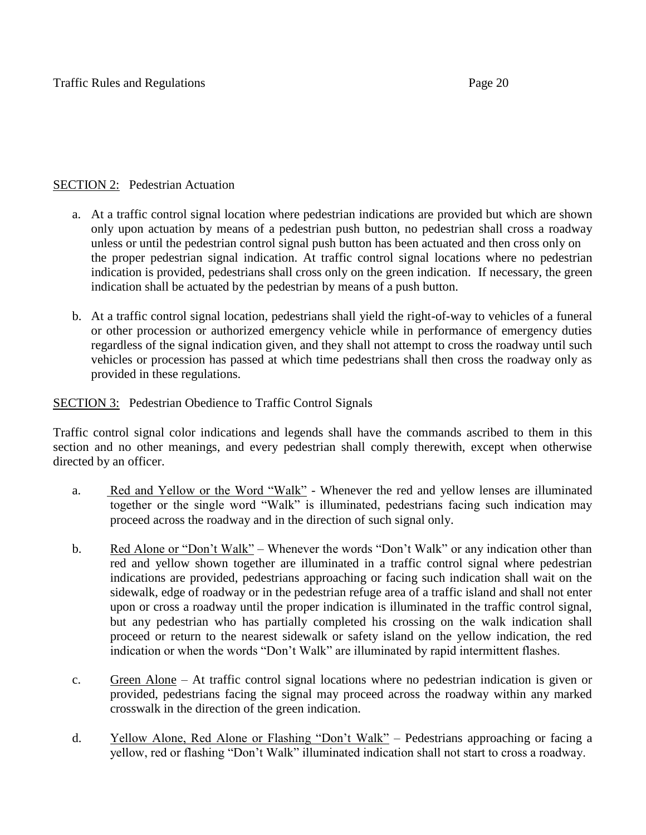# SECTION 2: Pedestrian Actuation

- a. At a traffic control signal location where pedestrian indications are provided but which are shown only upon actuation by means of a pedestrian push button, no pedestrian shall cross a roadway unless or until the pedestrian control signal push button has been actuated and then cross only on the proper pedestrian signal indication. At traffic control signal locations where no pedestrian indication is provided, pedestrians shall cross only on the green indication. If necessary, the green indication shall be actuated by the pedestrian by means of a push button.
- b. At a traffic control signal location, pedestrians shall yield the right-of-way to vehicles of a funeral or other procession or authorized emergency vehicle while in performance of emergency duties regardless of the signal indication given, and they shall not attempt to cross the roadway until such vehicles or procession has passed at which time pedestrians shall then cross the roadway only as provided in these regulations.

# SECTION 3: Pedestrian Obedience to Traffic Control Signals

Traffic control signal color indications and legends shall have the commands ascribed to them in this section and no other meanings, and every pedestrian shall comply therewith, except when otherwise directed by an officer.

- a. Red and Yellow or the Word "Walk" Whenever the red and yellow lenses are illuminated together or the single word "Walk" is illuminated, pedestrians facing such indication may proceed across the roadway and in the direction of such signal only.
- b. Red Alone or "Don't Walk" Whenever the words "Don't Walk" or any indication other than red and yellow shown together are illuminated in a traffic control signal where pedestrian indications are provided, pedestrians approaching or facing such indication shall wait on the sidewalk, edge of roadway or in the pedestrian refuge area of a traffic island and shall not enter upon or cross a roadway until the proper indication is illuminated in the traffic control signal, but any pedestrian who has partially completed his crossing on the walk indication shall proceed or return to the nearest sidewalk or safety island on the yellow indication, the red indication or when the words "Don't Walk" are illuminated by rapid intermittent flashes.
- c. Green Alone At traffic control signal locations where no pedestrian indication is given or provided, pedestrians facing the signal may proceed across the roadway within any marked crosswalk in the direction of the green indication.
- d. Yellow Alone, Red Alone or Flashing "Don't Walk" Pedestrians approaching or facing a yellow, red or flashing "Don't Walk" illuminated indication shall not start to cross a roadway.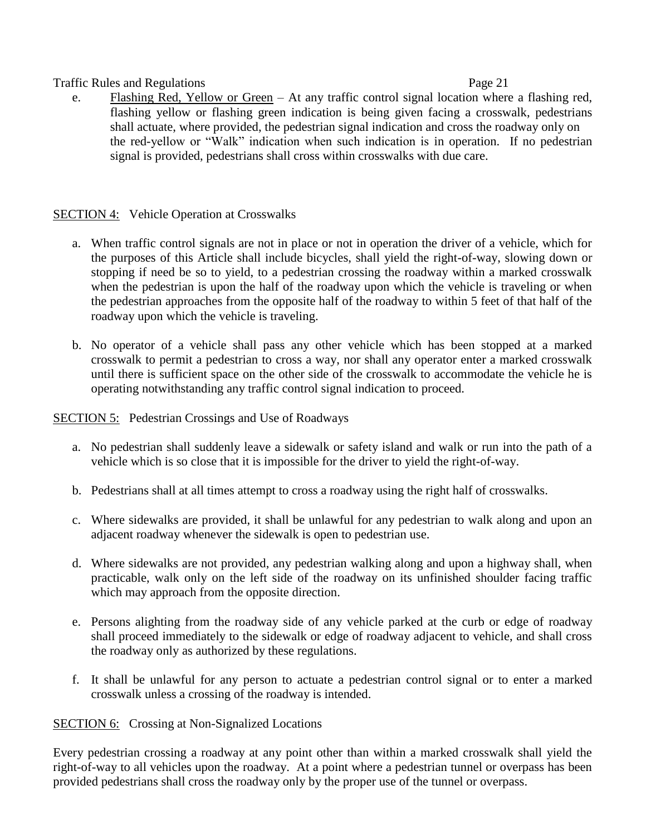e. Flashing Red, Yellow or Green – At any traffic control signal location where a flashing red, flashing yellow or flashing green indication is being given facing a crosswalk, pedestrians shall actuate, where provided, the pedestrian signal indication and cross the roadway only on the red-yellow or "Walk" indication when such indication is in operation. If no pedestrian signal is provided, pedestrians shall cross within crosswalks with due care.

## SECTION 4: Vehicle Operation at Crosswalks

- a. When traffic control signals are not in place or not in operation the driver of a vehicle, which for the purposes of this Article shall include bicycles, shall yield the right-of-way, slowing down or stopping if need be so to yield, to a pedestrian crossing the roadway within a marked crosswalk when the pedestrian is upon the half of the roadway upon which the vehicle is traveling or when the pedestrian approaches from the opposite half of the roadway to within 5 feet of that half of the roadway upon which the vehicle is traveling.
- b. No operator of a vehicle shall pass any other vehicle which has been stopped at a marked crosswalk to permit a pedestrian to cross a way, nor shall any operator enter a marked crosswalk until there is sufficient space on the other side of the crosswalk to accommodate the vehicle he is operating notwithstanding any traffic control signal indication to proceed.

### SECTION 5: Pedestrian Crossings and Use of Roadways

- a. No pedestrian shall suddenly leave a sidewalk or safety island and walk or run into the path of a vehicle which is so close that it is impossible for the driver to yield the right-of-way.
- b. Pedestrians shall at all times attempt to cross a roadway using the right half of crosswalks.
- c. Where sidewalks are provided, it shall be unlawful for any pedestrian to walk along and upon an adjacent roadway whenever the sidewalk is open to pedestrian use.
- d. Where sidewalks are not provided, any pedestrian walking along and upon a highway shall, when practicable, walk only on the left side of the roadway on its unfinished shoulder facing traffic which may approach from the opposite direction.
- e. Persons alighting from the roadway side of any vehicle parked at the curb or edge of roadway shall proceed immediately to the sidewalk or edge of roadway adjacent to vehicle, and shall cross the roadway only as authorized by these regulations.
- f. It shall be unlawful for any person to actuate a pedestrian control signal or to enter a marked crosswalk unless a crossing of the roadway is intended.

### SECTION 6: Crossing at Non-Signalized Locations

Every pedestrian crossing a roadway at any point other than within a marked crosswalk shall yield the right-of-way to all vehicles upon the roadway. At a point where a pedestrian tunnel or overpass has been provided pedestrians shall cross the roadway only by the proper use of the tunnel or overpass.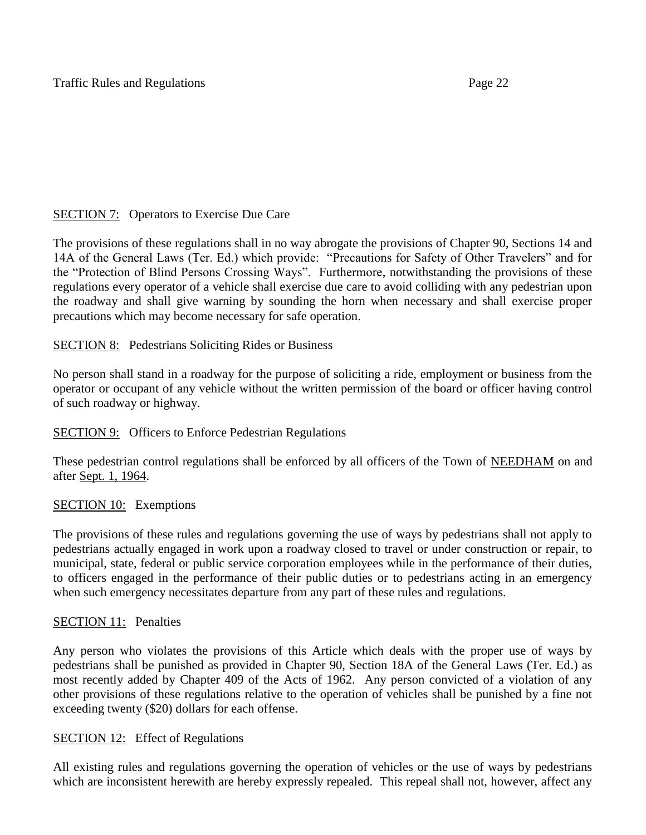# SECTION 7: Operators to Exercise Due Care

The provisions of these regulations shall in no way abrogate the provisions of Chapter 90, Sections 14 and 14A of the General Laws (Ter. Ed.) which provide: "Precautions for Safety of Other Travelers" and for the "Protection of Blind Persons Crossing Ways". Furthermore, notwithstanding the provisions of these regulations every operator of a vehicle shall exercise due care to avoid colliding with any pedestrian upon the roadway and shall give warning by sounding the horn when necessary and shall exercise proper precautions which may become necessary for safe operation.

# **SECTION 8:** Pedestrians Soliciting Rides or Business

No person shall stand in a roadway for the purpose of soliciting a ride, employment or business from the operator or occupant of any vehicle without the written permission of the board or officer having control of such roadway or highway.

## SECTION 9: Officers to Enforce Pedestrian Regulations

These pedestrian control regulations shall be enforced by all officers of the Town of NEEDHAM on and after Sept. 1, 1964.

## SECTION 10: Exemptions

The provisions of these rules and regulations governing the use of ways by pedestrians shall not apply to pedestrians actually engaged in work upon a roadway closed to travel or under construction or repair, to municipal, state, federal or public service corporation employees while in the performance of their duties, to officers engaged in the performance of their public duties or to pedestrians acting in an emergency when such emergency necessitates departure from any part of these rules and regulations.

## SECTION 11: Penalties

Any person who violates the provisions of this Article which deals with the proper use of ways by pedestrians shall be punished as provided in Chapter 90, Section 18A of the General Laws (Ter. Ed.) as most recently added by Chapter 409 of the Acts of 1962. Any person convicted of a violation of any other provisions of these regulations relative to the operation of vehicles shall be punished by a fine not exceeding twenty (\$20) dollars for each offense.

## SECTION 12: Effect of Regulations

All existing rules and regulations governing the operation of vehicles or the use of ways by pedestrians which are inconsistent herewith are hereby expressly repealed. This repeal shall not, however, affect any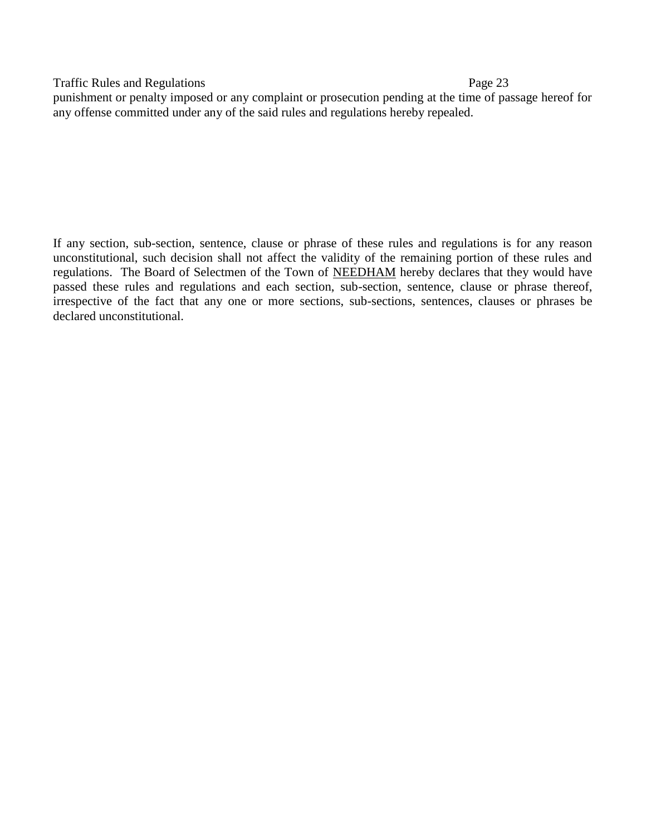punishment or penalty imposed or any complaint or prosecution pending at the time of passage hereof for any offense committed under any of the said rules and regulations hereby repealed.

If any section, sub-section, sentence, clause or phrase of these rules and regulations is for any reason unconstitutional, such decision shall not affect the validity of the remaining portion of these rules and regulations. The Board of Selectmen of the Town of NEEDHAM hereby declares that they would have passed these rules and regulations and each section, sub-section, sentence, clause or phrase thereof, irrespective of the fact that any one or more sections, sub-sections, sentences, clauses or phrases be declared unconstitutional.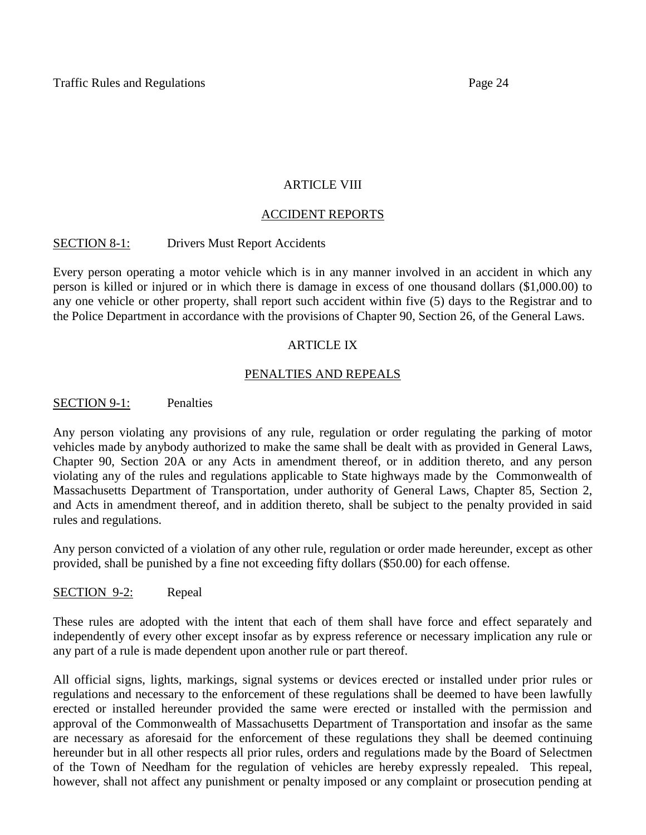## ARTICLE VIII

## ACCIDENT REPORTS

## SECTION 8-1: Drivers Must Report Accidents

Every person operating a motor vehicle which is in any manner involved in an accident in which any person is killed or injured or in which there is damage in excess of one thousand dollars (\$1,000.00) to any one vehicle or other property, shall report such accident within five (5) days to the Registrar and to the Police Department in accordance with the provisions of Chapter 90, Section 26, of the General Laws.

## ARTICLE IX

## PENALTIES AND REPEALS

### SECTION 9-1: Penalties

Any person violating any provisions of any rule, regulation or order regulating the parking of motor vehicles made by anybody authorized to make the same shall be dealt with as provided in General Laws, Chapter 90, Section 20A or any Acts in amendment thereof, or in addition thereto, and any person violating any of the rules and regulations applicable to State highways made by the Commonwealth of Massachusetts Department of Transportation, under authority of General Laws, Chapter 85, Section 2, and Acts in amendment thereof, and in addition thereto, shall be subject to the penalty provided in said rules and regulations.

Any person convicted of a violation of any other rule, regulation or order made hereunder, except as other provided, shall be punished by a fine not exceeding fifty dollars (\$50.00) for each offense.

### SECTION 9-2: Repeal

These rules are adopted with the intent that each of them shall have force and effect separately and independently of every other except insofar as by express reference or necessary implication any rule or any part of a rule is made dependent upon another rule or part thereof.

All official signs, lights, markings, signal systems or devices erected or installed under prior rules or regulations and necessary to the enforcement of these regulations shall be deemed to have been lawfully erected or installed hereunder provided the same were erected or installed with the permission and approval of the Commonwealth of Massachusetts Department of Transportation and insofar as the same are necessary as aforesaid for the enforcement of these regulations they shall be deemed continuing hereunder but in all other respects all prior rules, orders and regulations made by the Board of Selectmen of the Town of Needham for the regulation of vehicles are hereby expressly repealed. This repeal, however, shall not affect any punishment or penalty imposed or any complaint or prosecution pending at